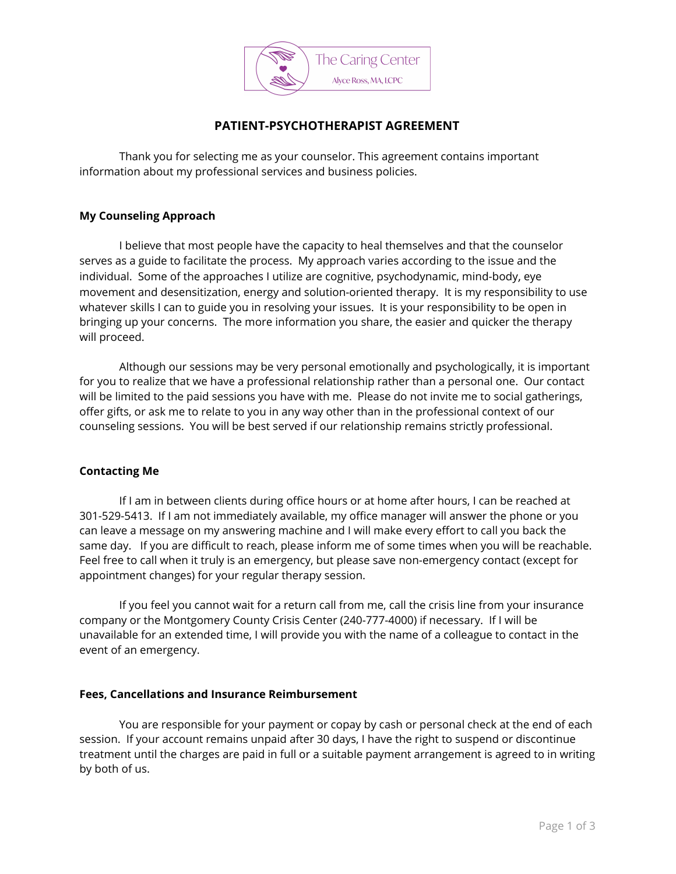

### **PATIENT-PSYCHOTHERAPIST AGREEMENT**

Thank you for selecting me as your counselor. This agreement contains important information about my professional services and business policies.

### **My Counseling Approach**

I believe that most people have the capacity to heal themselves and that the counselor serves as a guide to facilitate the process. My approach varies according to the issue and the individual. Some of the approaches I utilize are cognitive, psychodynamic, mind-body, eye movement and desensitization, energy and solution-oriented therapy. It is my responsibility to use whatever skills I can to guide you in resolving your issues. It is your responsibility to be open in bringing up your concerns. The more information you share, the easier and quicker the therapy will proceed.

Although our sessions may be very personal emotionally and psychologically, it is important for you to realize that we have a professional relationship rather than a personal one. Our contact will be limited to the paid sessions you have with me. Please do not invite me to social gatherings, offer gifts, or ask me to relate to you in any way other than in the professional context of our counseling sessions. You will be best served if our relationship remains strictly professional.

#### **Contacting Me**

If I am in between clients during office hours or at home after hours, I can be reached at 301-529-5413. If I am not immediately available, my office manager will answer the phone or you can leave a message on my answering machine and I will make every effort to call you back the same day. If you are difficult to reach, please inform me of some times when you will be reachable. Feel free to call when it truly is an emergency, but please save non-emergency contact (except for appointment changes) for your regular therapy session.

If you feel you cannot wait for a return call from me, call the crisis line from your insurance company or the Montgomery County Crisis Center (240-777-4000) if necessary. If I will be unavailable for an extended time, I will provide you with the name of a colleague to contact in the event of an emergency.

#### **Fees, Cancellations and Insurance Reimbursement**

You are responsible for your payment or copay by cash or personal check at the end of each session. If your account remains unpaid after 30 days, I have the right to suspend or discontinue treatment until the charges are paid in full or a suitable payment arrangement is agreed to in writing by both of us.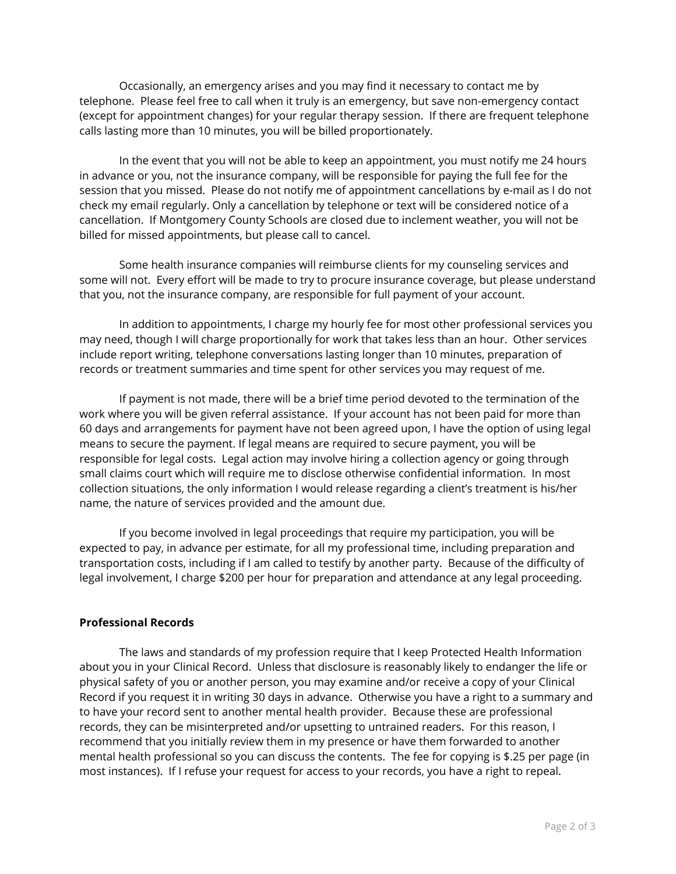Occasionally, an emergency arises and you may find it necessary to contact me by telephone. Please feel free to call when it truly is an emergency, but save non-emergency contact (except for appointment changes) for your regular therapy session. If there are frequent telephone calls lasting more than 10 minutes, you will be billed proportionately.

In the event that you will not be able to keep an appointment, you must notify me 24 hours in advance or you, not the insurance company, will be responsible for paying the full fee for the session that you missed. Please do not notify me of appointment cancellations by e-mail as I do not check my email regularly. Only a cancellation by telephone or text will be considered notice of a cancellation. If Montgomery County Schools are closed due to inclement weather, you will not be billed for missed appointments, but please call to cancel.

Some health insurance companies will reimburse clients for my counseling services and some will not. Every effort will be made to try to procure insurance coverage, but please understand that you, not the insurance company, are responsible for full payment of your account.

In addition to appointments, I charge my hourly fee for most other professional services you may need, though I will charge proportionally for work that takes less than an hour. Other services include report writing, telephone conversations lasting longer than 10 minutes, preparation of records or treatment summaries and time spent for other services you may request of me.

If payment is not made, there will be a brief time period devoted to the termination of the work where you will be given referral assistance. If your account has not been paid for more than 60 days and arrangements for payment have not been agreed upon, I have the option of using legal means to secure the payment. If legal means are required to secure payment, you will be responsible for legal costs. Legal action may involve hiring a collection agency or going through small claims court which will require me to disclose otherwise confidential information. In most collection situations, the only information I would release regarding a client's treatment is his/her name, the nature of services provided and the amount due.

If you become involved in legal proceedings that require my participation, you will be expected to pay, in advance per estimate, for all my professional time, including preparation and transportation costs, including if I am called to testify by another party. Because of the difficulty of legal involvement, I charge \$200 per hour for preparation and attendance at any legal proceeding.

#### **Professional Records**

The laws and standards of my profession require that I keep Protected Health Information about you in your Clinical Record. Unless that disclosure is reasonably likely to endanger the life or physical safety of you or another person, you may examine and/or receive a copy of your Clinical Record if you request it in writing 30 days in advance. Otherwise you have a right to a summary and to have your record sent to another mental health provider. Because these are professional records, they can be misinterpreted and/or upsetting to untrained readers. For this reason, I recommend that you initially review them in my presence or have them forwarded to another mental health professional so you can discuss the contents. The fee for copying is \$.25 per page (in most instances). If I refuse your request for access to your records, you have a right to repeal.